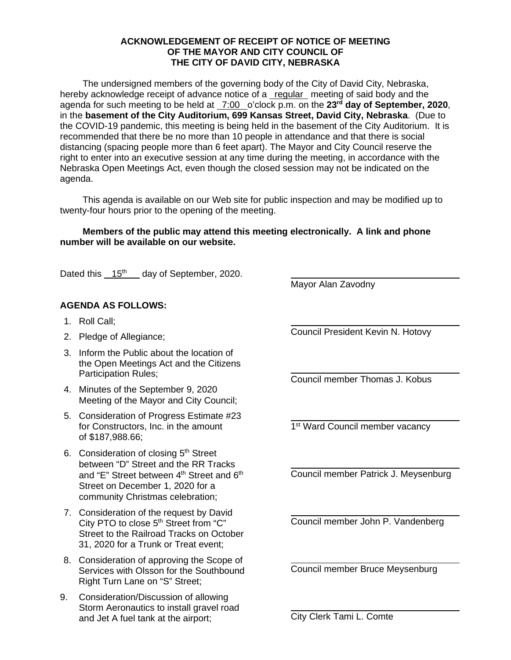## **ACKNOWLEDGEMENT OF RECEIPT OF NOTICE OF MEETING OF THE MAYOR AND CITY COUNCIL OF THE CITY OF DAVID CITY, NEBRASKA**

The undersigned members of the governing body of the City of David City, Nebraska, hereby acknowledge receipt of advance notice of a regular meeting of said body and the agenda for such meeting to be held at 7:00 o'clock p.m. on the **23rd day of September, 2020**, in the **basement of the City Auditorium, 699 Kansas Street, David City, Nebraska**. (Due to the COVID-19 pandemic, this meeting is being held in the basement of the City Auditorium. It is recommended that there be no more than 10 people in attendance and that there is social distancing (spacing people more than 6 feet apart). The Mayor and City Council reserve the right to enter into an executive session at any time during the meeting, in accordance with the Nebraska Open Meetings Act, even though the closed session may not be indicated on the agenda.

This agenda is available on our Web site for public inspection and may be modified up to twenty-four hours prior to the opening of the meeting.

## **Members of the public may attend this meeting electronically. A link and phone number will be available on our website.**

 $\overline{a}$ 

 $\overline{a}$ 

 $\overline{a}$ 

 $\overline{a}$ 

 $\overline{a}$ 

 $\overline{a}$ 

 $\overline{a}$ 

 $\overline{a}$ 

Dated this 15<sup>th</sup> day of September, 2020.

## **AGENDA AS FOLLOWS:**

- 1. Roll Call;
- 2. Pledge of Allegiance;
- 3. Inform the Public about the location of the Open Meetings Act and the Citizens Participation Rules;
- 4. Minutes of the September 9, 2020 Meeting of the Mayor and City Council;
- 5. Consideration of Progress Estimate #23 for Constructors, Inc. in the amount of \$187,988.66;
- 6. Consideration of closing 5<sup>th</sup> Street between "D" Street and the RR Tracks and "E" Street between 4<sup>th</sup> Street and 6<sup>th</sup> Street on December 1, 2020 for a community Christmas celebration;
- 7. Consideration of the request by David City PTO to close 5<sup>th</sup> Street from "C" Street to the Railroad Tracks on October 31, 2020 for a Trunk or Treat event;
- 8. Consideration of approving the Scope of Services with Olsson for the Southbound Right Turn Lane on "S" Street;
- 9. Consideration/Discussion of allowing Storm Aeronautics to install gravel road and Jet A fuel tank at the airport;

Mayor Alan Zavodny

Council President Kevin N. Hotovy

Council member Thomas J. Kobus

1<sup>st</sup> Ward Council member vacancy

Council member Patrick J. Meysenburg

Council member John P. Vandenberg

Council member Bruce Meysenburg

City Clerk Tami L. Comte